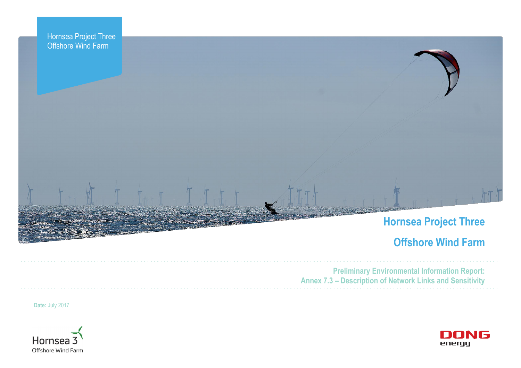



# **Offshore Wind Farm**



**Preliminary Environmental Information Report: Annex 7.3 – Description of Network Links and Sensitivity**

**Date:** July 2017

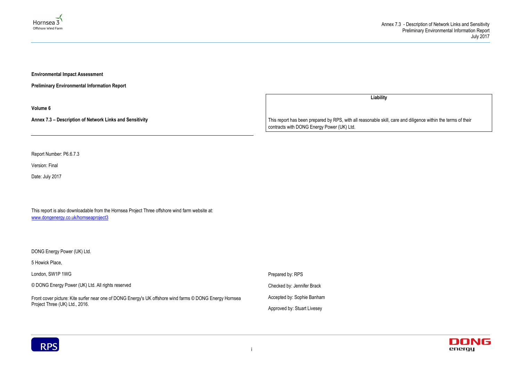



**Environmental Impact Assessment** 

**Preliminary Environmental Information Report**

**Volume 6**

**Annex 7.3 – Description of Network Links and Sensitivity**

Report Number: P6.6.7.3

Front cover picture: Kite surfer near one of DONG Energy's UK offshore wind farms © DONG Energy Hornsea Project Three (UK) Ltd., 2016.

Version: Final

Date: July 2017

This report is also downloadable from the Hornsea Project Three offshore wind farm website at: [www.dongenergy.co.uk/hornseaproject3](http://www.dongenergy.co.uk/hornseaproject3)

DONG Energy Power (UK) Ltd.

5 Howick Place,

London, SW1P 1WG

© DONG Energy Power (UK) Ltd. All rights reserved

**Liability**

This report has been prepared by RPS, with all reasonable skill, care and diligence within the terms of their contracts with DONG Energy Power (UK) Ltd.

Prepared by: RPS

Checked by: Jennifer Brack

Accepted by: Sophie Banham

Approved by: Stuart Livesey

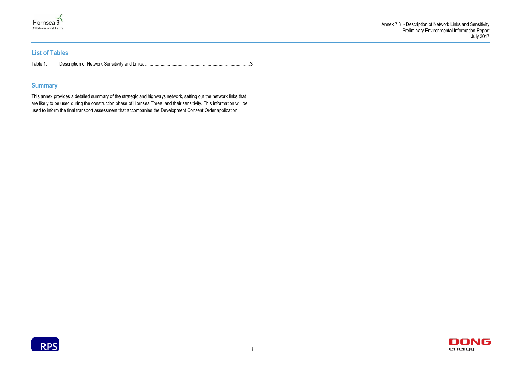



# **List of Tables**

| Table. |  |
|--------|--|
|        |  |

# **Summary**

This annex provides a detailed summary of the strategic and highways network, setting out the network links that are likely to be used during the construction phase of Hornsea Three, and their sensitivity. This information will be used to inform the final transport assessment that accompanies the Development Consent Order application.

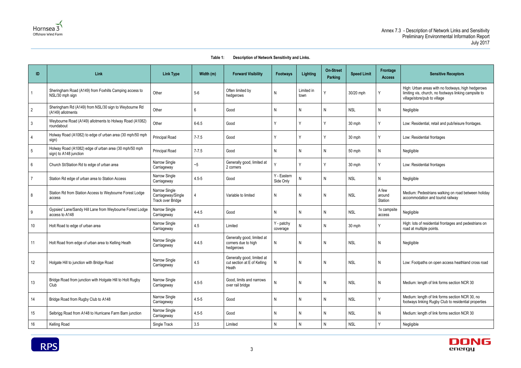

## **Table 1: Description of Network Sensitivity and Links.**



<span id="page-3-0"></span>

| ID              | Link                                                                            | <b>Link Type</b>                                         | Width (m) | <b>Forward Visibility</b>                                          | <b>Footways</b>          | <b>Lighting</b>    | <b>On-Street</b><br>Parking | <b>Speed Limit</b> | Frontage<br><b>Access</b>  | <b>Sensitive Receptors</b>                                                                                                                  |
|-----------------|---------------------------------------------------------------------------------|----------------------------------------------------------|-----------|--------------------------------------------------------------------|--------------------------|--------------------|-----------------------------|--------------------|----------------------------|---------------------------------------------------------------------------------------------------------------------------------------------|
| $\mathbf{1}$    | Sheringham Road (A149) from Foxhills Camping access to<br>NSL/30 mph sign       | Other                                                    | $5-6$     | Often limited by<br>hedgerows                                      | N                        | Limited in<br>town | Υ                           | 30/20 mph          | Y                          | High: Urban areas with no footways, high hedgerows<br>limiting vis, church, no footways linking campsite to<br>village/store/pub to village |
| $\overline{2}$  | Sheringham Rd (A149) from NSL/30 sign to Weybourne Rd<br>(A149) allotments      | Other                                                    | 6         | Good                                                               | Ν                        | N                  | N                           | <b>NSL</b>         | N                          | Negligible                                                                                                                                  |
| $\mathbf{3}$    | Weybourne Road (A149) allotments to Holway Road (A1082)<br>roundabout           | Other                                                    | $6 - 6.5$ | Good                                                               |                          |                    | ٧                           | 30 mph             | Υ                          | Low: Residential, retail and pub/leisure frontages.                                                                                         |
| $\overline{4}$  | Holway Road (A1082) to edge of urban area (30 mph/50 mph<br>sign)               | <b>Principal Road</b>                                    | $7 - 7.5$ | Good                                                               |                          | ν                  | γ                           | 30 mph             | Υ                          | Low: Residential frontages                                                                                                                  |
| $5\phantom{.0}$ | Holway Road (A1082) edge of urban area (30 mph/50 mph<br>sign) to A148 junction | Principal Road                                           | $7 - 7.5$ | Good                                                               | Ν                        | N                  | N                           | 50 mph             | N                          | Negligible                                                                                                                                  |
| $6\phantom{.}6$ | Church St/Station Rd to edge of urban area                                      | Narrow Single<br>Carriageway                             | ~5        | Generally good, limited at<br>2 corners                            |                          | ν                  | ٧                           | 30 mph             | Y                          | Low: Residential frontages                                                                                                                  |
|                 | Station Rd edge of urban area to Station Access                                 | Narrow Single<br>Carriageway                             | $4.5 - 5$ | Good                                                               | Y - Eastern<br>Side Only |                    | N                           | <b>NSL</b>         | N                          | Negligible                                                                                                                                  |
| 8               | Station Rd from Station Access to Weybourne Forest Lodge<br>access              | Narrow Single<br>Carriageway/Single<br>Track over Bridge | 4         | Variable to limited                                                | N                        | N                  | N                           | <b>NSL</b>         | A few<br>around<br>Station | Medium: Pedestrians walking on road between holiday<br>accommodation and tourist railway                                                    |
| 9               | Gypsies' Lane/Sandy Hill Lane from Weybourne Forest Lodge<br>access to A148     | Narrow Single<br>Carriageway                             | $4 - 4.5$ | Good                                                               | Ν                        | N                  | Ν                           | <b>NSL</b>         | 1x campsite<br>access      | Negligible                                                                                                                                  |
| 10 <sup>°</sup> | Holt Road to edge of urban area                                                 | Narrow Single<br>Carriageway                             | 4.5       | Limited                                                            | Y - patchy<br>coverage   | N                  | N                           | 30 mph             | v                          | High: lots of residential frontages and pedestrians on<br>road at multiple points.                                                          |
| 11              | Holt Road from edge of urban area to Kelling Heath                              | Narrow Single<br>Carriageway                             | $4 - 4.5$ | Generally good, limited at<br>corners due to high<br>hedgerows     | N                        | N                  | N                           | <b>NSL</b>         | N                          | Negligible                                                                                                                                  |
| 12              | Holgate Hill to junction with Bridge Road                                       | Narrow Single<br>Carriageway                             | 4.5       | Generally good, limited at<br>cut section at E of Kelling<br>Heath | N                        | $\mathsf{N}$       | $\mathsf{N}$                | <b>NSL</b>         | N                          | Low: Footpaths on open access heathland cross road                                                                                          |
| 13              | Bridge Road from junction with Holgate Hill to Holt Rugby<br>Club               | Narrow Single<br>Carriageway                             | $4.5 - 5$ | Good, limits and narrows<br>over rail bridge                       | N                        | $\mathsf{N}$       | $\mathsf{N}$                | <b>NSL</b>         | $\mathsf{N}$               | Medium: length of link forms section NCR 30                                                                                                 |
| 14              | Bridge Road from Rugby Club to A148                                             | Narrow Single<br>Carriageway                             | $4.5 - 5$ | Good                                                               | N                        | N                  | N                           | <b>NSL</b>         | Υ                          | Medium: length of link forms section NCR 30, no<br>footways linking Rugby Club to residential properties                                    |
| 15              | Selbrigg Road from A148 to Hurricane Farm Barn junction                         | Narrow Single<br>Carriageway                             | $4.5 - 5$ | Good                                                               | N                        | N                  | $\mathsf{N}$                | <b>NSL</b>         | $\mathsf{N}$               | Medium: length of link forms section NCR 30                                                                                                 |
| 16              | Kelling Road                                                                    | Single Track                                             | 3.5       | Limited                                                            | N                        | N.                 | $\mathsf{N}$                | <b>NSL</b>         | Y                          | Negligible                                                                                                                                  |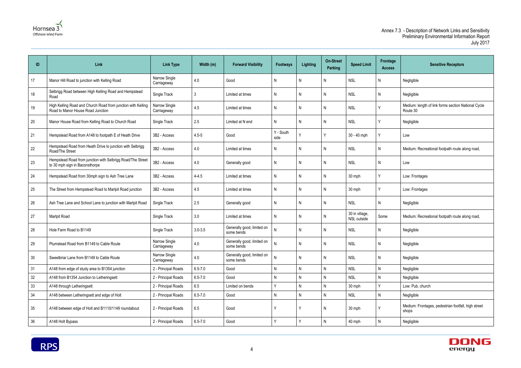



| ID     | Link                                                                                              | <b>Link Type</b>             | Width (m)   | <b>Forward Visibility</b>                | <b>Footways</b>   | Lighting     | <b>On-Street</b><br>Parking | <b>Speed Limit</b>            | Frontage<br><b>Access</b> | <b>Sensitive Receptors</b>                                      |
|--------|---------------------------------------------------------------------------------------------------|------------------------------|-------------|------------------------------------------|-------------------|--------------|-----------------------------|-------------------------------|---------------------------|-----------------------------------------------------------------|
| 17     | Manor Hill Road to junction with Kelling Road                                                     | Narrow Single<br>Carriageway | 4.0         | Good                                     | N                 | N            | N                           | <b>NSL</b>                    | N                         | Negligible                                                      |
| 18     | Selbrigg Road between High Kelling Road and Hempstead<br>Road                                     | Single Track                 | 3           | Limited at times                         | N                 | N            | N                           | <b>NSL</b>                    | N.                        | Negligible                                                      |
| 19     | High Kelling Road and Church Road from junction with Kelling<br>Road to Manor House Road Junction | Narrow Single<br>Carriageway | 4.5         | Limited at times                         | N                 | N            | $\mathsf{N}$                | <b>NSL</b>                    | V                         | Medium: length of link forms section National Cycle<br>Route 30 |
| 20     | Manor House Road from Kelling Road to Church Road                                                 | Single Track                 | 2.5         | Limited at N end                         | N                 | N            | N                           | <b>NSL</b>                    | Υ                         | Negligible                                                      |
| 21     | Hempstead Road from A148 to footpath E of Heath Drive                                             | 3B2 - Access                 | $4.5 - 5$   | Good                                     | Y - South<br>side |              | $\checkmark$                | 30 - 40 mph                   | ٧                         | Low                                                             |
| 22     | Hempstead Road from Heath Drive to junction with Selbrigg<br>Road/The Street                      | 3B2 - Access                 | 4.0         | Limited at times                         | N                 | N            | N                           | <b>NSL</b>                    | N                         | Medium: Recreational footpath route along road,                 |
| 23     | Hempstead Road from junction with Selbrigg Road/The Street<br>to 30 mph sign in Baconsthorpe      | 3B2 - Access                 | 4.0         | Generally good                           | N                 | N            | N                           | <b>NSL</b>                    | N.                        | Low                                                             |
| 24     | Hempstead Road from 30mph sign to Ash Tree Lane                                                   | 3B2 - Access                 | $4 - 4.5$   | Limited at times                         | N                 | N            | $\mathsf{N}$                | 30 mph                        | Y                         | Low: Frontages                                                  |
| 25     | The Street from Hempstead Road to Marlpit Road junction                                           | 3B2 - Access                 | 4.5         | Limited at times                         | N                 | N            | N                           | 30 mph                        | Y                         | Low: Frontages                                                  |
| 26     | Ash Tree Lane and School Lane to junction with Marlpit Road                                       | Single Track                 | 2.5         | Generally good                           | $\mathsf{N}$      | $\mathsf{N}$ | N                           | <b>NSL</b>                    | N                         | Negligible                                                      |
| 27     | Marlpit Road                                                                                      | Single Track                 | 3.0         | Limited at times                         | N                 | N            | N                           | 30 in village,<br>NSL outside | Some                      | Medium: Recreational footpath route along road,                 |
| 28     | Hole Farm Road to B1149                                                                           | Single Track                 | $3.0 - 3.5$ | Generally good, limited on<br>some bends | N                 | N            | N                           | <b>NSL</b>                    | N                         | Negligible                                                      |
| 29     | Plumstead Road from B1149 to Cable Route                                                          | Narrow Single<br>Carriageway | 4.0         | Generally good, limited on<br>some bends | $\mathsf{N}$      | $\mathsf{N}$ | N                           | <b>NSL</b>                    | N                         | Negligible                                                      |
| 30     | Sweetbriar Lane from B1149 to Cable Route                                                         | Narrow Single<br>Carriageway | 4.0         | Generally good, limited on<br>some bends | $\mathsf{N}$      | $\mathsf{N}$ | $\mathsf{N}$                | <b>NSL</b>                    | N                         | Negligible                                                      |
| 31     | A148 from edge of study area to B1354 junction                                                    | 2 - Principal Roads          | $6.5 - 7.0$ | Good                                     | N                 | $\mathsf{N}$ | $\mathsf{N}$                | <b>NSL</b>                    | $\mathsf{N}$              | Negligible                                                      |
| 32     | A148 from B1354 Junction to Letheringsett                                                         | 2 - Principal Roads          | $6.5 - 7.0$ | Good                                     | N                 | $\mathsf{N}$ | $\mathsf{N}$                | <b>NSL</b>                    | $\mathsf{N}$              | Negligible                                                      |
| 33     | A148 through Letheringsett                                                                        | 2 - Principal Roads          | 6.5         | Limited on bends                         | Ÿ                 | $\mathsf{N}$ | $\mathsf{N}$                | 30 mph                        | Y                         | Low: Pub, church                                                |
| 34     | A148 between Letheringsett and edge of Holt                                                       | 2 - Principal Roads          | $6.5 - 7.0$ | Good                                     | N                 | N.           | $\mathsf{N}$                | <b>NSL</b>                    | $\mathsf{N}$              | Negligible                                                      |
| 35     | A148 between edge of Holt and B1110/1149 roundabout                                               | 2 - Principal Roads          | 6.5         | Good                                     |                   |              | N                           | 30 mph                        | γ                         | Medium: Frontages, pedestrian footfall, high street<br>shops    |
| $36\,$ | A148 Holt Bypass                                                                                  | 2 - Principal Roads          | $6.5 - 7.0$ | Good                                     | v                 | ٧            | $\mathsf{N}$                | 40 mph                        | N                         | Negligible                                                      |

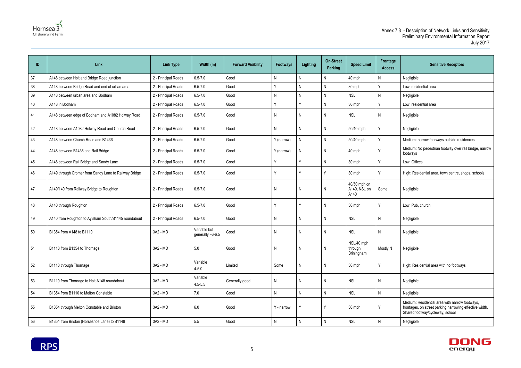



| ID | Link                                                  | <b>Link Type</b>    | Width (m)                        | <b>Forward Visibility</b> | <b>Footways</b> | <b>Lighting</b> | <b>On-Street</b><br><b>Parking</b> | <b>Speed Limit</b>                   | Frontage<br><b>Access</b> | <b>Sensitive Receptors</b>                                                                                                                   |
|----|-------------------------------------------------------|---------------------|----------------------------------|---------------------------|-----------------|-----------------|------------------------------------|--------------------------------------|---------------------------|----------------------------------------------------------------------------------------------------------------------------------------------|
| 37 | A148 between Holt and Bridge Road junction            | 2 - Principal Roads | $6.5 - 7.0$                      | Good                      | N               | N               | N                                  | 40 mph                               | Ν                         | Negligible                                                                                                                                   |
| 38 | A148 between Bridge Road and end of urban area        | 2 - Principal Roads | $6.5 - 7.0$                      | Good                      |                 | $\mathsf{N}$    | Ν                                  | 30 mph                               | $\checkmark$              | Low: residential area                                                                                                                        |
| 39 | A148 between urban area and Bodham                    | 2 - Principal Roads | $6.5 - 7.0$                      | Good                      | N               | $\mathsf{N}$    | N                                  | <b>NSL</b>                           | N                         | Negligible                                                                                                                                   |
| 40 | A148 in Bodham                                        | 2 - Principal Roads | $6.5 - 7.0$                      | Good                      | v               | Υ               | N                                  | 30 mph                               | v                         | Low: residential area                                                                                                                        |
| 41 | A148 between edge of Bodham and A1082 Holway Road     | 2 - Principal Roads | $6.5 - 7.0$                      | Good                      | N               | N               | N                                  | <b>NSL</b>                           | N                         | Negligible                                                                                                                                   |
| 42 | A148 between A1082 Holway Road and Church Road        | 2 - Principal Roads | $6.5 - 7.0$                      | Good                      | N               | N               | N                                  | 50/40 mph                            |                           | Negligible                                                                                                                                   |
| 43 | A148 between Church Road and B1436                    | 2 - Principal Roads | $6.5 - 7.0$                      | Good                      | Y (narrow)      | N               | N                                  | 50/40 mph                            | $\checkmark$              | Medium: narrow footways outside residences                                                                                                   |
| 44 | A148 between B1436 and Rail Bridge                    | 2 - Principal Roads | $6.5 - 7.0$                      | Good                      | Y (narrow)      | N               | N                                  | 40 mph                               |                           | Medium: No pedestrian footway over rail bridge, narrow<br>footways                                                                           |
| 45 | A148 between Rail Bridge and Sandy Lane               | 2 - Principal Roads | $6.5 - 7.0$                      | Good                      | Y               | Υ               | N                                  | 30 mph                               | v                         | Low: Offices                                                                                                                                 |
| 46 | A149 through Cromer from Sandy Lane to Railway Bridge | 2 - Principal Roads | $6.5 - 7.0$                      | Good                      |                 |                 | Υ                                  | 30 mph                               |                           | High: Residential area, town centre, shops, schools                                                                                          |
| 47 | A149/140 from Railway Bridge to Roughton              | 2 - Principal Roads | $6.5 - 7.0$                      | Good                      | N               | N               | N                                  | 40/50 mph on<br>A149, NSL on<br>A140 | Some                      | Negligible                                                                                                                                   |
| 48 | A140 through Roughton                                 | 2 - Principal Roads | $6.5 - 7.0$                      | Good                      |                 | Υ               | N                                  | 30 mph                               |                           | Low: Pub, church                                                                                                                             |
| 49 | A140 from Roughton to Aylsham South/B1145 roundabout  | 2 - Principal Roads | $6.5 - 7.0$                      | Good                      | N               | N               | N                                  | <b>NSL</b>                           | N                         | Negligible                                                                                                                                   |
| 50 | B1354 from A148 to B1110                              | 3A2 - MD            | Variable but<br>generally ~6-6.5 | Good                      | N               | N               | N                                  | <b>NSL</b>                           | N                         | Negligible                                                                                                                                   |
| 51 | B1110 from B1354 to Thornage                          | 3A2 - MD            | $5.0\,$                          | Good                      | -N              | $\mathsf{N}$    | $\mathsf{N}$                       | NSL/40 mph<br>through<br>Briningham  | Mostly N                  | Negligible                                                                                                                                   |
| 52 | B1110 through Thornage                                | 3A2 - MD            | Variable<br>$4 - 5.0$            | Limited                   | Some            | $\mathsf{N}$    | N                                  | 30 mph                               | γ                         | High: Residential area with no footways                                                                                                      |
| 53 | B1110 from Thornage to Holt A148 roundabout           | 3A2 - MD            | Variable<br>$4.5 - 5.5$          | Generally good            | N               | N               | N                                  | <b>NSL</b>                           | N                         | Negligible                                                                                                                                   |
| 54 | B1354 from B1110 to Melton Constable                  | 3A2 - MD            | 7.0                              | Good                      | ${\sf N}$       | $\mathsf{N}$    | $\mathsf{N}$                       | <b>NSL</b>                           | N                         | Negligible                                                                                                                                   |
| 55 | B1354 through Melton Constable and Briston            | 3A2 - MD            | 6.0                              | Good                      | Y - narrow      |                 | Y                                  | 30 mph                               | v                         | Medium: Residential area with narrow footways,<br>frontages, on street parking narrowing effective width.<br>Shared footway/cycleway, school |
| 56 | B1354 from Briston (Horseshoe Lane) to B1149          | 3A2 - MD            | $5.5\,$                          | Good                      | N               | $\mathsf{N}$    | N                                  | <b>NSL</b>                           | N                         | Negligible                                                                                                                                   |

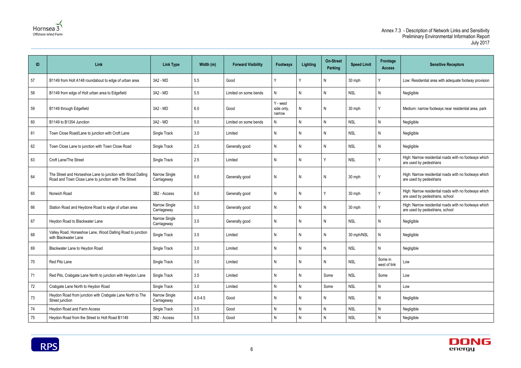



| ID | Link                                                                                                                | <b>Link Type</b>             | Width (m)   | <b>Forward Visibility</b> | <b>Footways</b>                  | <b>Lighting</b> | <b>On-Street</b><br>Parking | <b>Speed Limit</b> | Frontage<br><b>Access</b> | <b>Sensitive Receptors</b>                                                               |
|----|---------------------------------------------------------------------------------------------------------------------|------------------------------|-------------|---------------------------|----------------------------------|-----------------|-----------------------------|--------------------|---------------------------|------------------------------------------------------------------------------------------|
| 57 | B1149 from Holt A148 roundabout to edge of urban area                                                               | 3A2 - MD                     | 5.5         | Good                      |                                  |                 | N                           | 30 mph             |                           | Low: Residential area with adequate footway provision                                    |
| 58 | B1149 from edge of Holt urban area to Edgefield                                                                     | 3A2 - MD                     | 5.5         | Limited on some bends     | N                                | N               | N                           | <b>NSL</b>         | N                         | Negligible                                                                               |
| 59 | B1149 through Edgefield                                                                                             | 3A2 - MD                     | 6.0         | Good                      | Y - west<br>side only,<br>narrow | N               | N                           | 30 mph             |                           | Medium: narrow footways near residential area, park                                      |
| 60 | B1149 to B1354 Junction                                                                                             | 3A2 - MD                     | 5.0         | Limited on some bends     | N                                | N               | N                           | <b>NSL</b>         | N                         | Negligible                                                                               |
| 61 | Town Close Road/Lane to junction with Croft Lane                                                                    | Single Track                 | 3.0         | Limited                   | N                                | N.              | N                           | <b>NSL</b>         | N                         | Negligible                                                                               |
| 62 | Town Close Lane to junction with Town Close Road                                                                    | Single Track                 | 2.5         | Generally good            | N                                | N               | N                           | <b>NSL</b>         | N                         | Negligible                                                                               |
| 63 | Croft Lane/The Street                                                                                               | Single Track                 | 2.5         | Limited                   | N                                | N               |                             | <b>NSL</b>         | $\checkmark$              | High: Narrow residential roads with no footways which<br>are used by pedestrians         |
| 64 | The Street and Horseshoe Lane to junction with Wood Dalling<br>Road and Town Close Lane to junction with The Street | Narrow Single<br>Carriageway | 5.0         | Generally good            | N                                | N               | N                           | 30 mph             |                           | High: Narrow residential roads with no footways which<br>are used by pedestrians         |
| 65 | Norwich Road                                                                                                        | 3B2 - Access                 | 6.0         | Generally good            | N                                | N               |                             | 30 mph             | $\checkmark$              | High: Narrow residential roads with no footways which<br>are used by pedestrians, school |
| 66 | Station Road and Heydone Road to edge of urban area                                                                 | Narrow Single<br>Carriageway | $5.0\,$     | Generally good            | N                                | N               | N                           | 30 mph             |                           | High: Narrow residential roads with no footways which<br>are used by pedestrians, school |
| 67 | Heydon Road to Blackwater Lane                                                                                      | Narrow Single<br>Carriageway | 3.5         | Generally good            | N                                | N               | N                           | <b>NSL</b>         | N                         | Negligible                                                                               |
| 68 | Valley Road, Horseshoe Lane, Wood Dalling Road to junction<br>with Blackwater Lane                                  | Single Track                 | 3.5         | Limited                   | N                                | N               | N                           | 30 mph/NSL         | N                         | Negligible                                                                               |
| 69 | Blackwater Lane to Heydon Road                                                                                      | Single Track                 | 3.0         | Limited                   | $\mathsf{N}$                     | N               | N                           | <b>NSL</b>         | N                         | Negligible                                                                               |
| 70 | Red Pits Lane                                                                                                       | Single Track                 | 3.0         | Limited                   | N                                | N               | N                           | <b>NSL</b>         | Some in<br>west of link   | Low                                                                                      |
| 71 | Red Pits, Crabgate Lane North to junction with Heydon Lane                                                          | Single Track                 | 3.5         | Limited                   | N                                | N.              | Some                        | <b>NSL</b>         | Some                      | Low                                                                                      |
| 72 | Crabgate Lane North to Heydon Road                                                                                  | Single Track                 | 3.0         | Limited                   | N                                | N               | Some                        | <b>NSL</b>         | ${\sf N}$                 | Low                                                                                      |
| 73 | Heydon Road from junction with Crabgate Lane North to The<br>Street junction                                        | Narrow Single<br>Carriageway | $4.0 - 4.5$ | Good                      | N                                | N               | N                           | <b>NSL</b>         | N                         | Negligible                                                                               |
| 74 | Heydon Road and Farm Access                                                                                         | Single Track                 | 3.5         | Good                      | N                                | N               | N                           | <b>NSL</b>         | ${\sf N}$                 | Negligible                                                                               |
| 75 | Heydon Road from the Street to Holt Road B1149                                                                      | 3B2 - Access                 | $5.5\,$     | Good                      | N                                | N               | $\mathsf{N}$                | <b>NSL</b>         | ${\sf N}$                 | Negligible                                                                               |
|    |                                                                                                                     |                              |             |                           |                                  |                 |                             |                    |                           |                                                                                          |

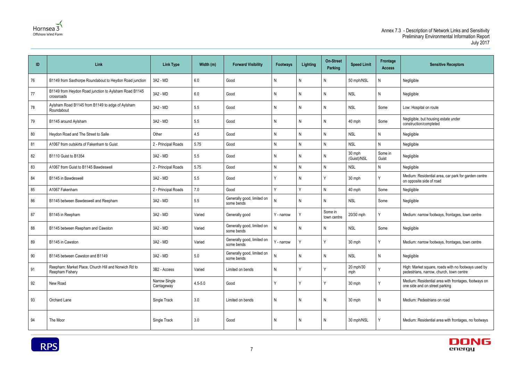



| ID | Link                                                                    | <b>Link Type</b>             | Width (m)   | <b>Forward Visibility</b>                | <b>Footways</b> | <b>Lighting</b> | <b>On-Street</b><br>Parking | <b>Speed Limit</b>    | Frontage<br><b>Access</b> | <b>Sensitive Receptors</b>                                                                      |
|----|-------------------------------------------------------------------------|------------------------------|-------------|------------------------------------------|-----------------|-----------------|-----------------------------|-----------------------|---------------------------|-------------------------------------------------------------------------------------------------|
| 76 | B1149 from Saxthorpe Roundabout to Heydon Road junction                 | 3A2 - MD                     | 6.0         | Good                                     | N               | N               | N                           | 50 mph/NSL            | N                         | Negligible                                                                                      |
| 77 | B1149 from Heydon Road junction to Aylsham Road B1145<br>crossroads     | 3A2 - MD                     | 6.0         | Good                                     | N               | N               | N                           | <b>NSL</b>            | N                         | Negligible                                                                                      |
| 78 | Aylsham Road B1145 from B1149 to edge of Aylsham<br>Roundabout          | 3A2 - MD                     | 5.5         | Good                                     | N               | N               | N                           | <b>NSL</b>            | Some                      | Low: Hospital on route                                                                          |
| 79 | B1145 around Aylsham                                                    | 3A2 - MD                     | 5.5         | Good                                     | N               | N               | N                           | 40 mph                | Some                      | Negligible, but housing estate under<br>construction/completed                                  |
| 80 | Heydon Road and The Street to Salle                                     | Other                        | 4.5         | Good                                     | N               | N               | N                           | <b>NSL</b>            | N                         | Negligible                                                                                      |
| 81 | A1067 from outskirts of Fakenham to Guist                               | 2 - Principal Roads          | 5.75        | Good                                     | N               | N               | N                           | <b>NSL</b>            | N.                        | Negligible                                                                                      |
| 82 | B1110 Guist to B1354                                                    | 3A2 - MD                     | 5.5         | Good                                     | N               | $\mathsf{N}$    | N                           | 30 mph<br>(Guist)/NSL | Some in<br>Guist          | Negligible                                                                                      |
| 83 | A1067 from Guist to B1145 Bawdeswell                                    | 2 - Principal Roads          | 5.75        | Good                                     | N               | $\mathsf{N}$    | N                           | <b>NSL</b>            | Ν                         | Negligible                                                                                      |
| 84 | B1145 in Bawdeswell                                                     | 3A2 - MD                     | 5.5         | Good                                     |                 | N               |                             | 30 mph                |                           | Medium: Residential area, car park for garden centre<br>on opposite side of road                |
| 85 | A1067 Fakenham                                                          | 2 - Principal Roads          | 7.0         | Good                                     | v               | Υ               | N                           | 40 mph                | Some                      | Negligible                                                                                      |
| 86 | B1145 between Bawdeswell and Reepham                                    | 3A2 - MD                     | 5.5         | Generally good, limited on<br>some bends | N               | N               | N                           | <b>NSL</b>            | Some                      | Negligible                                                                                      |
| 87 | B1145 in Reepham                                                        | 3A2 - MD                     | Varied      | Generally good                           | Y - narrow      |                 | Some in<br>town centre      | 20/30 mph             |                           | Medium: narrow footways, frontages, town centre                                                 |
| 88 | B1145 between Reepham and Cawston                                       | 3A2 - MD                     | Varied      | Generally good, limited on<br>some bends | N               | N               | N                           | <b>NSL</b>            | Some                      | Negligible                                                                                      |
| 89 | B1145 in Cawston                                                        | 3A2 - MD                     | Varied      | Generally good, limited on<br>some bends | Y - narrow      | Υ               | Y                           | 30 mph                |                           | Medium: narrow footways, frontages, town centre                                                 |
| 90 | B1145 between Cawston and B1149                                         | 3A2 - MD                     | $5.0\,$     | Generally good, limited on<br>some bends | N               | $\mathsf{N}$    | $\mathsf{N}$                | <b>NSL</b>            | N                         | Negligible                                                                                      |
| 91 | Reepham: Market Place, Church Hill and Norwich Rd to<br>Reepham Fishery | 3B2 - Access                 | Varied      | Limited on bends                         | N               | Y               | Y                           | 20 mph/30<br>mph      | $\checkmark$              | High: Market square, roads with no footways used by<br>pedestrians, narrow, church, town centre |
| 92 | New Road                                                                | Narrow Single<br>Carriageway | $4.5 - 5.0$ | Good                                     |                 | Υ               | Υ                           | 30 mph                |                           | Medium: Residential area with frontages, footways on<br>one side and on street parking          |
| 93 | Orchard Lane                                                            | Single Track                 | 3.0         | Limited on bends                         | N               | $\mathsf{N}$    | $\mathsf{N}$                | 30 mph                | N                         | Medium: Pedestrians on road                                                                     |
| 94 | The Moor                                                                | Single Track                 | 3.0         | Good                                     | N               | N               | N                           | 30 mph/NSL            |                           | Medium: Residential area with frontages, no footways                                            |



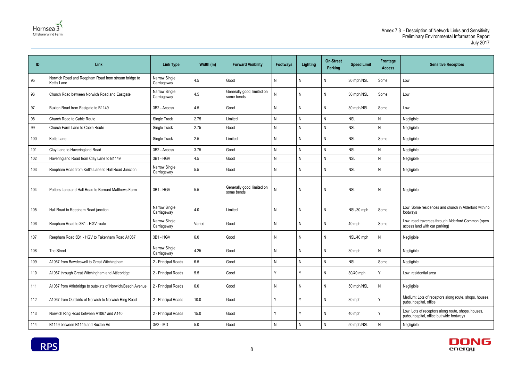



| ID  | Link                                                               | <b>Link Type</b>             | Width (m) | <b>Forward Visibility</b>                | <b>Footways</b> | <b>Lighting</b> | <b>On-Street</b><br>Parking | <b>Speed Limit</b> | Frontage<br><b>Access</b> | <b>Sensitive Receptors</b>                                                                     |
|-----|--------------------------------------------------------------------|------------------------------|-----------|------------------------------------------|-----------------|-----------------|-----------------------------|--------------------|---------------------------|------------------------------------------------------------------------------------------------|
| 95  | Norwich Road and Reepham Road from stream bridge to<br>Kett's Lane | Narrow Single<br>Carriageway | 4.5       | Good                                     | Ν               | N               | N                           | 30 mph/NSL         | Some                      | Low                                                                                            |
| 96  | Church Road between Norwich Road and Eastgate                      | Narrow Single<br>Carriageway | 4.5       | Generally good, limited on<br>some bends |                 | N               | N                           | 30 mph/NSL         | Some                      | Low                                                                                            |
| 97  | Buxton Road from Eastgate to B1149                                 | 3B2 - Access                 | 4.5       | Good                                     | N               | N               | $\mathsf{N}$                | 30 mph/NSL         | Some                      | Low                                                                                            |
| 98  | Church Road to Cable Route                                         | Single Track                 | 2.75      | Limited                                  | N               | N               | $\mathsf{N}$                | <b>NSL</b>         | $\mathsf{N}$              | Negligible                                                                                     |
| 99  | Church Farm Lane to Cable Route                                    | Single Track                 | 2.75      | Good                                     | N               | N               | N                           | <b>NSL</b>         | $\mathsf{N}$              | Negligible                                                                                     |
| 100 | Ketts Lane                                                         | Single Track                 | 2.5       | Limited                                  | N               | N               | N                           | <b>NSL</b>         | Some                      | Negligible                                                                                     |
| 101 | Clay Lane to Haveringland Road                                     | 3B2 - Access                 | 3.75      | Good                                     | N               | N               | N                           | <b>NSL</b>         | $\mathsf{N}$              | Negligible                                                                                     |
| 102 | Haveringland Road from Clay Lane to B1149                          | 3B1 - HGV                    | 4.5       | Good                                     | N               | N               | N                           | <b>NSL</b>         | $\mathsf{N}$              | Negligible                                                                                     |
| 103 | Reepham Road from Kett's Lane to Hall Road Junction                | Narrow Single<br>Carriageway | 5.5       | Good                                     | N               | N               | N                           | <b>NSL</b>         | N                         | Negligible                                                                                     |
| 104 | Potters Lane and Hall Road to Bernard Matthews Farm                | 3B1 - HGV                    | 5.5       | Generally good, limited on<br>some bends | $\mathsf{N}$    | $\mathsf{N}$    | N                           | <b>NSL</b>         | $\mathsf{N}$              | Negligible                                                                                     |
| 105 | Hall Road to Reepham Road junction                                 | Narrow Single<br>Carriageway | 4.0       | Limited                                  | N               | N.              | N                           | NSL/30 mph         | Some                      | Low: Some residences and church in Alderford with no<br>footways                               |
| 106 | Reepham Road to 3B1 - HGV route                                    | Narrow Single<br>Carriageway | Varied    | Good                                     | Ν               | N               | N                           | 40 mph             | Some                      | Low: road traverses through Alderford Common (open<br>access land with car parking)            |
| 107 | Reepham Road 3B1 - HGV to Fakenham Road A1067                      | 3B1 - HGV                    | 6.0       | Good                                     | N               | N               | $\mathsf{N}$                | NSL/40 mph         | N                         | Negligible                                                                                     |
| 108 | The Street                                                         | Narrow Single<br>Carriageway | 4.25      | Good                                     | N               | N               | $\mathsf{N}$                | 30 mph             | $\mathsf{N}$              | Negligible                                                                                     |
| 109 | A1067 from Bawdeswell to Great Witchingham                         | 2 - Principal Roads          | 6.5       | Good                                     | Ν               | N               | N                           | <b>NSL</b>         | Some                      | Negligible                                                                                     |
| 110 | A1067 through Great Witchingham and Attlebridge                    | 2 - Principal Roads          | 5.5       | Good                                     | Υ               | Y               | $\mathsf{N}$                | 30/40 mph          | Υ                         | Low: residential area                                                                          |
| 111 | A1067 from Attlebridge to outskirts of Norwich/Beech Avenue        | 2 - Principal Roads          | 6.0       | Good                                     | N               | N               | N                           | 50 mph/NSL         | $\mathsf{N}$              | Negligible                                                                                     |
| 112 | A1067 from Outskirts of Norwich to Norwich Ring Road               | 2 - Principal Roads          | 10.0      | Good                                     | ٧               | Y               | $\mathsf{N}$                | 30 mph             | γ                         | Medium: Lots of receptors along route, shops, houses,<br>pubs, hospital, office                |
| 113 | Norwich Ring Road between A1067 and A140                           | 2 - Principal Roads          | 15.0      | Good                                     | ν               | Y               | $\mathsf{N}$                | 40 mph             | $\mathsf{v}$              | Low: Lots of receptors along route, shops, houses,<br>pubs, hospital, office but wide footways |
| 114 | B1149 between B1145 and Buxton Rd                                  | 3A2 - MD                     | $5.0$     | Good                                     | Ν               | N               | N                           | 50 mph/NSL         | $\mathsf{N}$              | Negligible                                                                                     |
|     |                                                                    |                              |           |                                          |                 |                 |                             |                    |                           |                                                                                                |

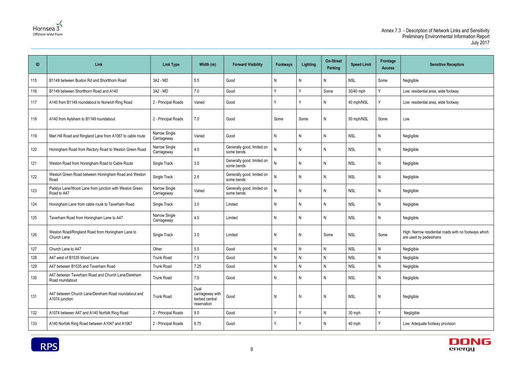



| ID  | Link                                                                  | <b>Link Type</b>             | Width (m)                                                 | <b>Forward Visibility</b>                | <b>Footways</b> | <b>Lighting</b> | <b>On-Street</b><br><b>Parking</b> | <b>Speed Limit</b> | Frontage<br><b>Access</b> | <b>Sensitive Receptors</b>                                                       |
|-----|-----------------------------------------------------------------------|------------------------------|-----------------------------------------------------------|------------------------------------------|-----------------|-----------------|------------------------------------|--------------------|---------------------------|----------------------------------------------------------------------------------|
| 115 | B1149 between Buxton Rd and Shortthorn Road                           | 3A2 - MD                     | 5.5                                                       | Good                                     | N               | Ν               | N                                  | <b>NSL</b>         | Some                      | Negligible                                                                       |
| 116 | B1149 between Shortthorn Road and A140                                | 3A2 - MD                     | 7.0                                                       | Good                                     | Υ               | v               | Some                               | 30/40 mph          | Y                         | Low: residential area, wide footway                                              |
| 117 | A140 from B1149 roundabout to Norwich Ring Road                       | 2 - Principal Roads          | Varied                                                    | Good                                     | ٧               |                 | N.                                 | 40 mph/NSL         | Υ                         | Low: residential area, wide footway                                              |
| 118 | A140 from Aylsham to B1149 roundabout                                 | 2 - Principal Roads          | 7.0                                                       | Good                                     | Some            | Some            | N                                  | 50 mph/NSL         | Some                      | Low                                                                              |
| 119 | Marl Hill Road and Ringland Lane from A1067 to cable route            | Narrow Single<br>Carriageway | Varied                                                    | Good                                     | N               | N               | N                                  | <b>NSL</b>         | N                         | Negligible                                                                       |
| 120 | Honingham Road from Rectory Road to Weston Green Road                 | Narrow Single<br>Carriageway | 4.0                                                       | Generally good, limited on<br>some bends | N               | N               | Ν                                  | <b>NSL</b>         | N                         | Negligible                                                                       |
| 121 | Weston Road from Honingham Road to Cable Route                        | Single Track                 | 3.0                                                       | Generally good, limited on<br>some bends |                 | N               | N                                  | <b>NSL</b>         | N                         | Negligible                                                                       |
| 122 | Weston Green Road between Honingham Road and Weston<br>Road           | Single Track                 | $2.8\,$                                                   | Generally good, limited on<br>some bends | N               | N               | N                                  | <b>NSL</b>         | N                         | Negligible                                                                       |
| 123 | Paddys Lane/Wood Lane from junction with Weston Green<br>Road to A47  | Narrow Single<br>Carriageway | Varied                                                    | Generally good, limited on<br>some bends | N               | N               | N                                  | <b>NSL</b>         | N                         | Negligible                                                                       |
| 124 | Honingham Lane from cable route to Taverham Road                      | Single Track                 | 3.5                                                       | Limited                                  | N               | N               | N                                  | <b>NSL</b>         | N                         | Negligible                                                                       |
| 125 | Taverham Road from Honingham Lane to A47                              | Narrow Single<br>Carriageway | $4.0\,$                                                   | Limited                                  | N               | N               | N                                  | <b>NSL</b>         | N                         | Negligible                                                                       |
| 126 | Weston Road/Ringland Road from Honingham Lane to<br>Church Lane       | Single Track                 | 3.0                                                       | Limited                                  | N               | N               | Some                               | <b>NSL</b>         | Some                      | High: Narrow residential roads with no footways which<br>are used by pedestrians |
| 127 | Church Lane to A47                                                    | Other                        | 5.5                                                       | Good                                     | N               | N               | N                                  | <b>NSL</b>         | N,                        | Negligible                                                                       |
| 128 | A47 west of B1535 Wood Lane                                           | Trunk Road                   | 7.5                                                       | Good                                     | N               | N               | N                                  | <b>NSL</b>         | N                         | Negligible                                                                       |
| 129 | A47 between B1535 and Taverham Road                                   | Trunk Road                   | 7.25                                                      | Good                                     | ${\sf N}$       | N               | N                                  | <b>NSL</b>         | N                         | Negligible                                                                       |
| 130 | A47 between Taverham Road and Church Lane/Dereham<br>Road roundabout  | Trunk Road                   | 7.0                                                       | Good                                     | N               | N               | Ν                                  | <b>NSL</b>         | N                         | Negligible                                                                       |
| 131 | A47 between Church Lane/Dereham Road roundabout and<br>A1074 junction | Trunk Road                   | Dual<br>carriageway with<br>kerbed central<br>reservation | Good                                     | $\mathsf{N}$    | N               | $\mathsf{N}$                       | <b>NSL</b>         | $\mathsf{N}$              | Negligible                                                                       |
| 132 | A1074 between A47 and A140 Norfolk Ring Road                          | 2 - Principal Roads          | 9.0                                                       | Good                                     | Y               | v               | N                                  | 30 mph             | Y                         | Negligible                                                                       |
| 133 | A140 Norfolk Ring Road between A1047 and A1067                        | 2 - Principal Roads          | 8.75                                                      | Good                                     | $\mathsf{Y}$    | ٧               | N                                  | 40 mph             | Υ                         | Low: Adequate footway provision                                                  |

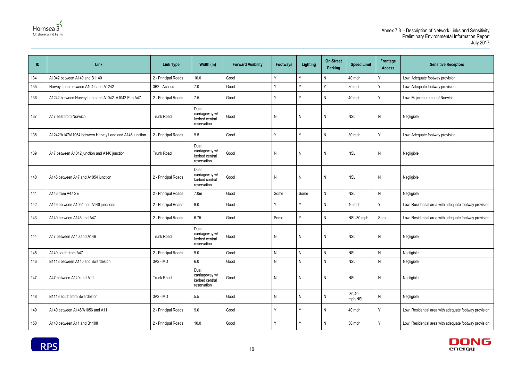



| ID  | Link                                                   | <b>Link Type</b>    | Width (m)                                               | <b>Forward Visibility</b> | Footways     | Lighting     | <b>On-Street</b><br><b>Parking</b> | <b>Speed Limit</b> | Frontage<br><b>Access</b> | <b>Sensitive Receptors</b>                            |
|-----|--------------------------------------------------------|---------------------|---------------------------------------------------------|---------------------------|--------------|--------------|------------------------------------|--------------------|---------------------------|-------------------------------------------------------|
| 134 | A1042 between A140 and B1140                           | 2 - Principal Roads | 10.0                                                    | Good                      | $\vee$       | $\checkmark$ | N                                  | 40 mph             | Y                         | Low: Adequate footway provision                       |
| 135 | Harvey Lane between A1042 and A1242                    | 3B2 - Access        | 7.0                                                     | Good                      |              | $\vee$       | Y                                  | 30 mph             | Y                         | Low: Adequate footway provision                       |
| 136 | A1242 between Harvey Lane and A1042. A1042 E to A47.   | 2 - Principal Roads | 7.5                                                     | Good                      | $\vee$       | v            | N                                  | 40 mph             | Y                         | Low: Major route out of Norwich                       |
| 137 | A47 east from Norwich                                  | <b>Trunk Road</b>   | Dual<br>carriageway w/<br>kerbed central<br>reservation | Good                      | $\mathsf{N}$ | N            | N                                  | <b>NSL</b>         | N                         | Negligible                                            |
| 138 | A1242/A147/A1054 between Harvey Lane and A146 junction | 2 - Principal Roads | 9.5                                                     | Good                      | $\vee$       | Y            | N                                  | 30 mph             | Y                         | Low: Adequate footway provision                       |
| 139 | A47 between A1042 junction and A146 junction           | <b>Trunk Road</b>   | Dual<br>carriageway w/<br>kerbed central<br>reservation | Good                      | N            | N            | N                                  | <b>NSL</b>         | N                         | Negligible                                            |
| 140 | A146 between A47 and A1054 junction                    | 2 - Principal Roads | Dual<br>carriageway w/<br>kerbed central<br>reservation | Good                      | $\mathsf{N}$ | $\mathsf{N}$ | N                                  | <b>NSL</b>         | N                         | Negligible                                            |
| 141 | A146 from A47 SE                                       | 2 - Principal Roads | 7.0 <sub>m</sub>                                        | Good                      | Some         | Some         | N                                  | <b>NSL</b>         | $\mathsf{N}$              | Negligible                                            |
| 142 | A146 between A1054 and A140 junctions                  | 2 - Principal Roads | 9.0                                                     | Good                      |              |              | N                                  | 40 mph             | v                         | Low: Residential area with adequate footway provision |
| 143 | A140 between A146 and A47                              | 2 - Principal Roads | 6.75                                                    | Good                      | Some         | Y            | N                                  | NSL/30 mph         | Some                      | Low: Residential area with adequate footway provision |
| 144 | A47 between A140 and A146                              | <b>Trunk Road</b>   | Dual<br>carriageway w/<br>kerbed central<br>reservation | Good                      | N            | N            | N                                  | <b>NSL</b>         | N                         | Negligible                                            |
| 145 | A140 south from A47                                    | 2 - Principal Roads | 9.0                                                     | Good                      | $\mathsf{N}$ | $\mathsf{N}$ | $\mathsf{N}$                       | <b>NSL</b>         | $\mathsf{N}$              | Negligible                                            |
| 146 | B1113 between A140 and Swardeston                      | 3A2 - MD            | 6.0                                                     | Good                      | N            | N            | N                                  | <b>NSL</b>         | ${\sf N}$                 | Negligible                                            |
| 147 | A47 between A140 and A11                               | <b>Trunk Road</b>   | Dual<br>carriageway w/<br>kerbed central<br>reservation | Good                      | N            | N            | N                                  | <b>NSL</b>         | N                         | Negligible                                            |
| 148 | B1113 south from Swardeston                            | 3A2 - MD            | 5.5                                                     | Good                      | N            | N            | N                                  | 30/40<br>mph/NSL   | N                         | Negligible                                            |
| 149 | A140 between A146/A1056 and A11                        | 2 - Principal Roads | 9.0                                                     | Good                      | $\vee$       | v            | N                                  | 40 mph             | Υ                         | Low: Residential area with adequate footway provision |
| 150 | A140 between A11 and B1108                             | 2 - Principal Roads | 10.0                                                    | Good                      |              | Y            | N                                  | 30 mph             | Y                         | Low: Residential area with adequate footway provision |

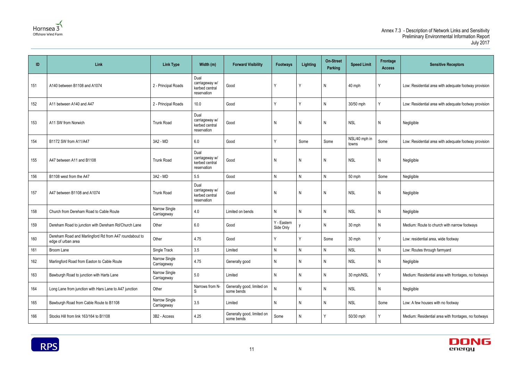



| ID  | Link                                                                         | <b>Link Type</b>             | Width (m)                                               | <b>Forward Visibility</b>                | <b>Footways</b>          | <b>Lighting</b> | <b>On-Street</b><br>Parking | <b>Speed Limit</b>     | Frontage<br><b>Access</b> | <b>Sensitive Receptors</b>                            |
|-----|------------------------------------------------------------------------------|------------------------------|---------------------------------------------------------|------------------------------------------|--------------------------|-----------------|-----------------------------|------------------------|---------------------------|-------------------------------------------------------|
| 151 | A140 between B1108 and A1074                                                 | 2 - Principal Roads          | Dual<br>carriageway w/<br>kerbed central<br>reservation | Good                                     | Y                        | Y               | $\mathsf{N}$                | 40 mph                 | Y                         | Low: Residential area with adequate footway provision |
| 152 | A11 between A140 and A47                                                     | 2 - Principal Roads          | 10.0                                                    | Good                                     | Y                        | Y               | N                           | 30/50 mph              | Y                         | Low: Residential area with adequate footway provision |
| 153 | A11 SW from Norwich                                                          | <b>Trunk Road</b>            | Dual<br>carriageway w/<br>kerbed central<br>reservation | Good                                     | N                        | $\mathsf{N}$    | $\mathsf{N}$                | <b>NSL</b>             | N                         | Negligible                                            |
| 154 | B1172 SW from A11/A47                                                        | 3A2 - MD                     | 6.0                                                     | Good                                     | ν                        | Some            | Some                        | NSL/40 mph in<br>towns | Some                      | Low: Residential area with adequate footway provision |
| 155 | A47 between A11 and B1108                                                    | <b>Trunk Road</b>            | Dual<br>carriageway w/<br>kerbed central<br>reservation | Good                                     | N                        | N               | N                           | <b>NSL</b>             | N                         | Negligible                                            |
| 156 | B1108 west from the A47                                                      | 3A2 - MD                     | 5.5                                                     | Good                                     | N                        | N               | N                           | 50 mph                 | Some                      | Negligible                                            |
| 157 | A47 between B1108 and A1074                                                  | <b>Trunk Road</b>            | Dual<br>carriageway w/<br>kerbed central<br>reservation | Good                                     | N                        | $\mathsf{N}$    | $\mathsf{N}$                | <b>NSL</b>             | N                         | Negligible                                            |
| 158 | Church from Dereham Road to Cable Route                                      | Narrow Single<br>Carriageway | 4.0                                                     | Limited on bends                         | N                        | N               | N                           | <b>NSL</b>             | N                         | Negligible                                            |
| 159 | Dereham Road to junction with Dereham Rd/Church Lane                         | Other                        | 6.0                                                     | Good                                     | Y - Eastern<br>Side Only |                 | N                           | 30 mph                 | N                         | Medium: Route to church with narrow footways          |
| 160 | Dereham Road and Marlingford Rd from A47 roundabout to<br>edge of urban area | Other                        | 4.75                                                    | Good                                     |                          | Υ               | Some                        | 30 mph                 | Y                         | Low: residential area, wide footway                   |
| 161 | Broom Lane                                                                   | Single Track                 | 3.5                                                     | Limited                                  | N                        | $\mathsf{N}$    | $\mathsf{N}$                | <b>NSL</b>             | $\mathsf{N}$              | Low: Routes through farmyard                          |
| 162 | Marlingford Road from Easton to Cable Route                                  | Narrow Single<br>Carriageway | 4.75                                                    | Generally good                           | N                        | N               | N                           | <b>NSL</b>             | N                         | Negligible                                            |
| 163 | Bawburgh Road to junction with Harts Lane                                    | Narrow Single<br>Carriageway | 5.0                                                     | Limited                                  | N                        | N               | N                           | 30 mph/NSL             | Υ                         | Medium: Residential area with frontages, no footways  |
| 164 | Long Lane from junction with Hars Lane to A47 junction                       | Other                        | Narrows from N-<br>S                                    | Generally good, limited on<br>some bends | N                        | $\mathsf{N}$    | N                           | <b>NSL</b>             | N                         | Negligible                                            |
| 165 | Bawburgh Road from Cable Route to B1108                                      | Narrow Single<br>Carriageway | 3.5                                                     | Limited                                  | N                        | $\mathsf{N}$    | $\mathsf{N}$                | <b>NSL</b>             | Some                      | Low: A few houses with no footway                     |
| 166 | Stocks Hill from link 163/164 to B1108                                       | 3B2 - Access                 | 4.25                                                    | Generally good, limited on<br>some bends | Some                     | N               | Υ                           | 50/30 mph              | Y                         | Medium: Residential area with frontages, no footways  |

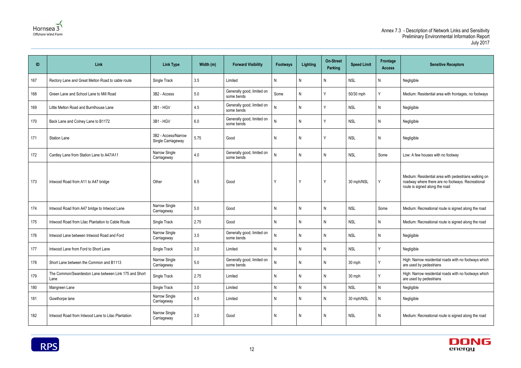



| ID  | Link                                                          | <b>Link Type</b>                          | Width (m) | <b>Forward Visibility</b>                | <b>Footways</b> | Lighting | <b>On-Street</b><br>Parking | <b>Speed Limit</b> | Frontage<br><b>Access</b> | <b>Sensitive Receptors</b>                                                                                                                  |
|-----|---------------------------------------------------------------|-------------------------------------------|-----------|------------------------------------------|-----------------|----------|-----------------------------|--------------------|---------------------------|---------------------------------------------------------------------------------------------------------------------------------------------|
| 167 | Rectory Lane and Great Melton Road to cable route             | Single Track                              | 3.5       | Limited                                  | N               | N        | N                           | <b>NSL</b>         | N                         | Negligible                                                                                                                                  |
| 168 | Green Lane and School Lane to Mill Road                       | 3B2 - Access                              | $5.0$     | Generally good, limited on<br>some bends | Some            | N        | $\checkmark$                | 50/30 mph          | Y                         | Medium: Residential area with frontages, no footways                                                                                        |
| 169 | Little Melton Road and Burnthouse Lane                        | 3B1 - HGV                                 | 4.5       | Generally good, limited on<br>some bends | N               | N        |                             | <b>NSL</b>         | N                         | Negligible                                                                                                                                  |
| 170 | Back Lane and Colney Lane to B1172                            | 3B1 - HGV                                 | 6.0       | Generally good, limited on<br>some bends | Ν               | N        | ν                           | <b>NSL</b>         | N                         | Negligible                                                                                                                                  |
| 171 | <b>Station Lane</b>                                           | 3B2 - Access/Narrow<br>Single Carriageway | 5.75      | Good                                     | N               | N        | ν                           | <b>NSL</b>         | N                         | Negligible                                                                                                                                  |
| 172 | Cantley Lane from Station Lane to A47/A11                     | Narrow Single<br>Carriageway              | 4.0       | Generally good, limited on<br>some bends | N               | N        | N                           | <b>NSL</b>         | Some                      | Low: A few houses with no footway                                                                                                           |
| 173 | Intwood Road from A11 to A47 bridge                           | Other                                     | 6.5       | Good                                     | Y               | Y        | Y                           | 30 mph/NSL         | Υ                         | Medium: Residential area with pedestrians walking on<br>roadway where there are no footways. Recreational<br>route is signed along the road |
| 174 | Intwood Road from A47 bridge to Intwood Lane                  | Narrow Single<br>Carriageway              | 5.0       | Good                                     | N               | N        | N                           | <b>NSL</b>         | Some                      | Medium: Recreational route is signed along the road                                                                                         |
| 175 | Intwood Road from Lilac Plantation to Cable Route             | Single Track                              | 2.75      | Good                                     | N               | N        | N                           | <b>NSL</b>         | N                         | Medium: Recreational route is signed along the road                                                                                         |
| 176 | Intwood Lane between Intwood Road and Ford                    | Narrow Single<br>Carriageway              | 3.5       | Generally good, limited on<br>some bends | N               | N        | N                           | <b>NSL</b>         | N                         | Negligible                                                                                                                                  |
| 177 | Intwood Lane from Ford to Short Lane                          | Single Track                              | 3.0       | Limited                                  | N               | N        | N                           | <b>NSL</b>         |                           | Negligible                                                                                                                                  |
| 178 | Short Lane between the Common and B1113                       | Narrow Single<br>Carriageway              | $5.0\,$   | Generally good, limited on<br>some bends | N               | N        | N                           | 30 mph             | ν                         | High: Narrow residential roads with no footways which<br>are used by pedestrians                                                            |
| 179 | The Common/Swardeston Lane between Link 175 and Short<br>Lane | Single Track                              | 2.75      | Limited                                  | N               | N        | N                           | 30 mph             | v                         | High: Narrow residential roads with no footways which<br>are used by pedestrians                                                            |
| 180 | Mangreen Lane                                                 | Single Track                              | 3.0       | Limited                                  | N               | N        | N                           | <b>NSL</b>         | N                         | Negligible                                                                                                                                  |
| 181 | Gowthorpe lane                                                | Narrow Single<br>Carriageway              | 4.5       | Limited                                  | N               | N        | N                           | 30 mph/NSL         | N                         | Negligible                                                                                                                                  |
| 182 | Intwood Road from Intwood Lane to Lilac Plantation            | Narrow Single<br>Carriageway              | 3.0       | Good                                     | N               | N        | N                           | <b>NSL</b>         | N                         | Medium: Recreational route is signed along the road                                                                                         |